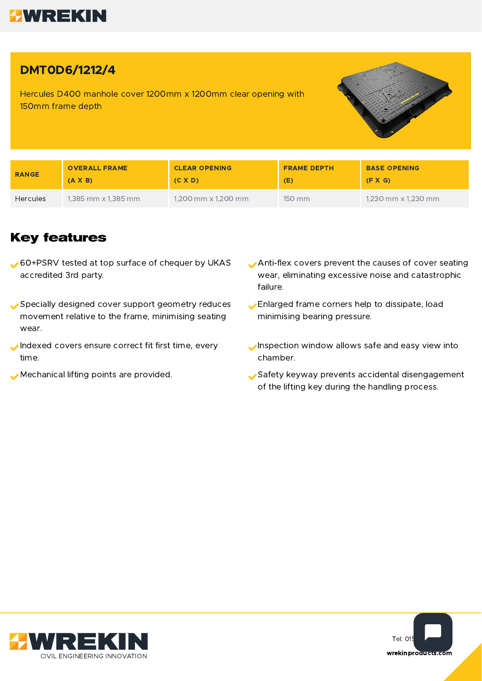

## DMT0D6/1212/4

Hercules D400 manhole cover 1200mm x 1200mm clear opening with 150mm frame depth



| <b>RANGE</b>    | <b>OVERALL FRAME</b> | <b>CLEAR OPENING</b>         | <b>FRAME DEPTH</b> | <b>BASE OPENING</b>        |
|-----------------|----------------------|------------------------------|--------------------|----------------------------|
|                 | $(A \times B)$       | (C X D)                      | (E)                | (F X G)                    |
| <b>Hercules</b> | 1,385 mm x 1,385 mm  | $1,200$ mm $\times$ 1,200 mm | 150 mm             | 1,230 mm $\times$ 1,230 mm |

## **Key features**

- 60+PSRV tested at top surface of chequer by UKAS accredited 3rd party.
- Specially designed cover support geometry reduces movement relative to the frame, minimising seating wear.
- Indexed covers ensure correct fit first time, every time.
- 
- Anti-flex covers prevent the causes of cover seating wear, eliminating excessive noise and catastrophic failure.
- Enlarged frame corners help to dissipate, load minimising bearing pressure.
- Inspection window allows safe and easy view into chamber.
- Mechanical lifting points are provided. Safety keyway prevents accidental disengagement of the lifting key during the handling process.



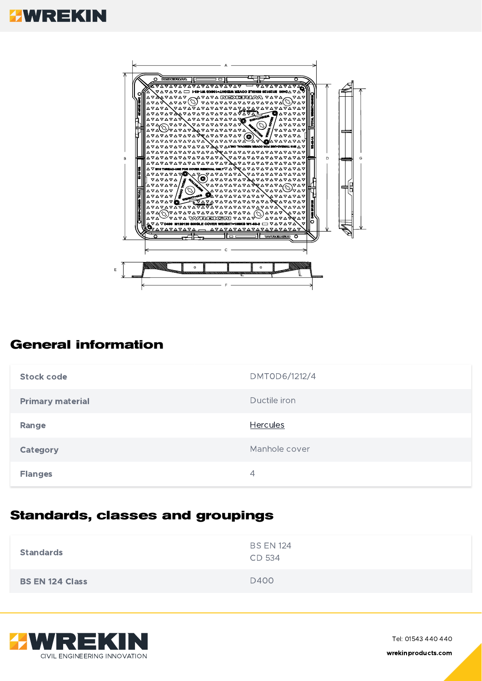# **HWREKIN**



## **General information**

| Stock code              | DMT0D6/1212/4   |
|-------------------------|-----------------|
| <b>Primary material</b> | Ductile iron    |
| Range                   | <b>Hercules</b> |
| Category                | Manhole cover   |
| <b>Flanges</b>          | 4               |

## **Standards, classes and groupings**

| <b>Standards</b>       | <b>BS EN 124</b><br>CD 534 |
|------------------------|----------------------------|
| <b>BS EN 124 Class</b> | D400                       |



Tel: 01543 440 440 wrekinproducts.com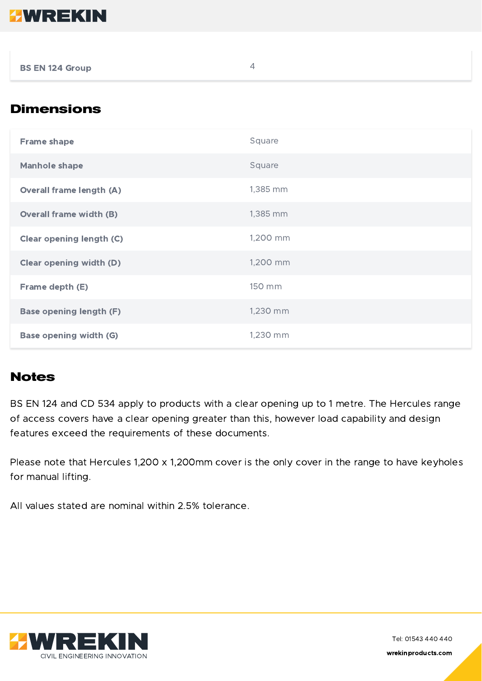

BS EN 124 Group 4

## **Dimensions**

| <b>Frame shape</b>              | Square   |
|---------------------------------|----------|
| <b>Manhole shape</b>            | Square   |
| <b>Overall frame length (A)</b> | 1,385 mm |
| <b>Overall frame width (B)</b>  | 1,385 mm |
| <b>Clear opening length (C)</b> | 1,200 mm |
| <b>Clear opening width (D)</b>  | 1,200 mm |
| Frame depth (E)                 | 150 mm   |
| <b>Base opening length (F)</b>  | 1,230 mm |
| <b>Base opening width (G)</b>   | 1,230 mm |

#### **Notes**

BS EN 124 and CD 534 apply to products with a clear opening up to 1 metre. The Hercules range of access covers have a clear opening greater than this, however load capability and design features exceed the requirements of these documents.

Please note that Hercules 1,200 x 1,200mm cover is the only cover in the range to have keyholes for manual lifting.

All values stated are nominal within 2.5% tolerance.



Tel: 01543 440 440 wrekinproducts.com